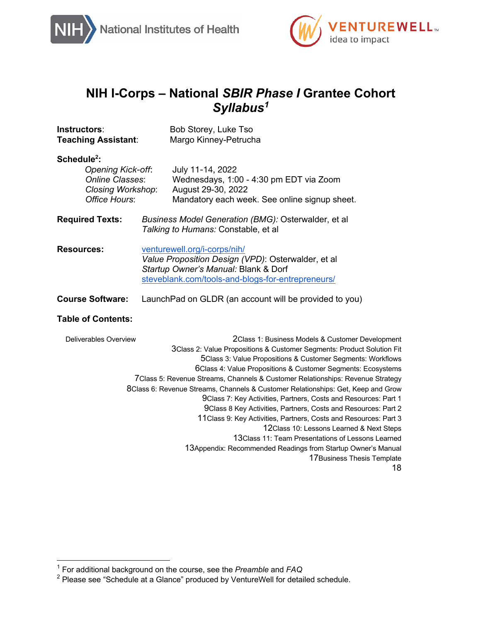



18

# **NIH I-Corps – National** *SBIR Phase I* **Grantee Cohort**  *Syllabus1*

| Instructors:<br><b>Teaching Assistant:</b>                                                                                 | Bob Storey, Luke Tso<br>Margo Kinney-Petrucha                                                                                                                                                                                                                                                                                                                                                                                                                                                                                                                                                                                                                                                                                                                                                                                                      |
|----------------------------------------------------------------------------------------------------------------------------|----------------------------------------------------------------------------------------------------------------------------------------------------------------------------------------------------------------------------------------------------------------------------------------------------------------------------------------------------------------------------------------------------------------------------------------------------------------------------------------------------------------------------------------------------------------------------------------------------------------------------------------------------------------------------------------------------------------------------------------------------------------------------------------------------------------------------------------------------|
| Schedule <sup>2</sup> :<br><b>Opening Kick-off:</b><br><b>Online Classes:</b><br><b>Closing Workshop:</b><br>Office Hours: | July 11-14, 2022<br>Wednesdays, 1:00 - 4:30 pm EDT via Zoom<br>August 29-30, 2022<br>Mandatory each week. See online signup sheet.                                                                                                                                                                                                                                                                                                                                                                                                                                                                                                                                                                                                                                                                                                                 |
| <b>Required Texts:</b>                                                                                                     | Business Model Generation (BMG): Osterwalder, et al<br>Talking to Humans: Constable, et al                                                                                                                                                                                                                                                                                                                                                                                                                                                                                                                                                                                                                                                                                                                                                         |
| <b>Resources:</b>                                                                                                          | venturewell.org/i-corps/nih/<br>Value Proposition Design (VPD): Osterwalder, et al<br>Startup Owner's Manual: Blank & Dorf<br>steveblank.com/tools-and-blogs-for-entrepreneurs/                                                                                                                                                                                                                                                                                                                                                                                                                                                                                                                                                                                                                                                                    |
| <b>Course Software:</b>                                                                                                    | Launch Pad on GLDR (an account will be provided to you)                                                                                                                                                                                                                                                                                                                                                                                                                                                                                                                                                                                                                                                                                                                                                                                            |
| <b>Table of Contents:</b>                                                                                                  |                                                                                                                                                                                                                                                                                                                                                                                                                                                                                                                                                                                                                                                                                                                                                                                                                                                    |
| <b>Deliverables Overview</b>                                                                                               | 2Class 1: Business Models & Customer Development<br>3Class 2: Value Propositions & Customer Segments: Product Solution Fit<br>5Class 3: Value Propositions & Customer Segments: Workflows<br>6Class 4: Value Propositions & Customer Segments: Ecosystems<br>7Class 5: Revenue Streams, Channels & Customer Relationships: Revenue Strategy<br>8Class 6: Revenue Streams, Channels & Customer Relationships: Get, Keep and Grow<br>9Class 7: Key Activities, Partners, Costs and Resources: Part 1<br>9Class 8 Key Activities, Partners, Costs and Resources: Part 2<br>11 Class 9: Key Activities, Partners, Costs and Resources: Part 3<br>12 Class 10: Lessons Learned & Next Steps<br>13 Class 11: Team Presentations of Lessons Learned<br>13Appendix: Recommended Readings from Startup Owner's Manual<br>17 Business Thesis Template<br>1 Q |

<sup>1</sup> For additional background on the course, see the *Preamble* and *FAQ*

 $2$  Please see "Schedule at a Glance" produced by VentureWell for detailed schedule.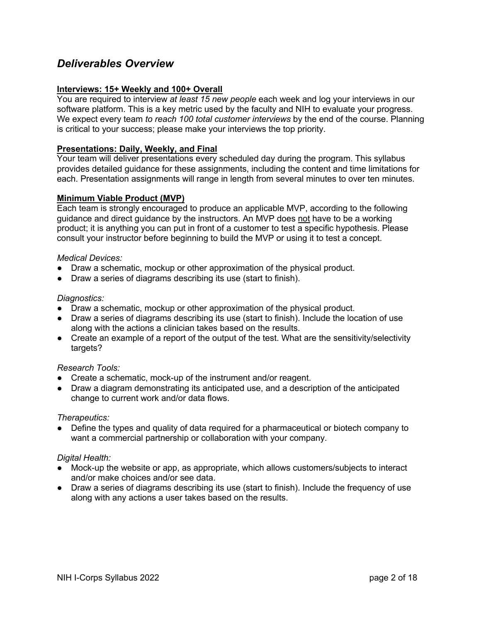## *Deliverables Overview*

## **Interviews: 15+ Weekly and 100+ Overall**

You are required to interview *at least 15 new people* each week and log your interviews in our software platform. This is a key metric used by the faculty and NIH to evaluate your progress. We expect every team *to reach 100 total customer interviews* by the end of the course. Planning is critical to your success; please make your interviews the top priority.

## **Presentations: Daily, Weekly, and Final**

Your team will deliver presentations every scheduled day during the program. This syllabus provides detailed guidance for these assignments, including the content and time limitations for each. Presentation assignments will range in length from several minutes to over ten minutes.

## **Minimum Viable Product (MVP)**

Each team is strongly encouraged to produce an applicable MVP, according to the following guidance and direct guidance by the instructors. An MVP does not have to be a working product; it is anything you can put in front of a customer to test a specific hypothesis. Please consult your instructor before beginning to build the MVP or using it to test a concept.

### *Medical Devices:*

- Draw a schematic, mockup or other approximation of the physical product.
- Draw a series of diagrams describing its use (start to finish).

### *Diagnostics:*

- Draw a schematic, mockup or other approximation of the physical product.
- Draw a series of diagrams describing its use (start to finish). Include the location of use along with the actions a clinician takes based on the results.
- Create an example of a report of the output of the test. What are the sensitivity/selectivity targets?

### *Research Tools:*

- Create a schematic, mock-up of the instrument and/or reagent.
- Draw a diagram demonstrating its anticipated use, and a description of the anticipated change to current work and/or data flows.

### *Therapeutics:*

• Define the types and quality of data required for a pharmaceutical or biotech company to want a commercial partnership or collaboration with your company.

### *Digital Health:*

- Mock-up the website or app, as appropriate, which allows customers/subjects to interact and/or make choices and/or see data.
- Draw a series of diagrams describing its use (start to finish). Include the frequency of use along with any actions a user takes based on the results.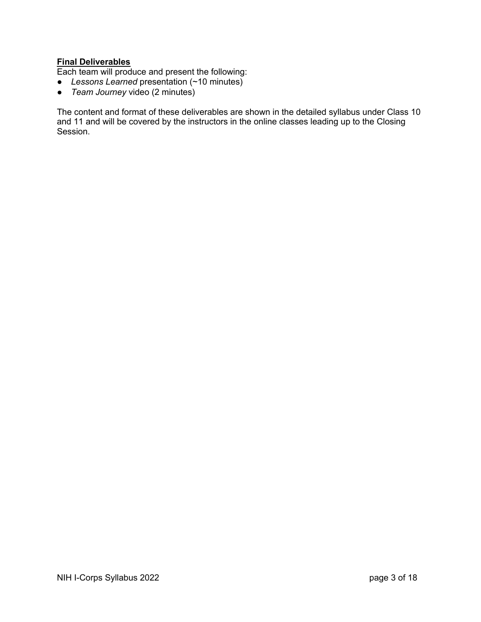## **Final Deliverables**

Each team will produce and present the following:

- *Lessons Learned* presentation (~10 minutes)
- *Team Journey* video (2 minutes)

The content and format of these deliverables are shown in the detailed syllabus under Class 10 and 11 and will be covered by the instructors in the online classes leading up to the Closing Session.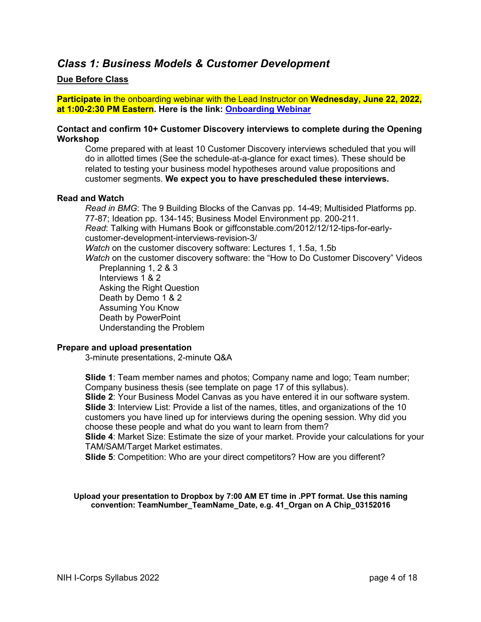## *Class 1: Business Models & Customer Development*

## **Due Before Class**

**Participate in** the onboarding webinar with the Lead Instructor on **Wednesday, June 22, 2022, at 1:00-2:30 PM Eastern. Here is the link: Onboarding Webinar**

### **Contact and confirm 10+ Customer Discovery interviews to complete during the Opening Workshop**

Come prepared with at least 10 Customer Discovery interviews scheduled that you will do in allotted times (See the schedule-at-a-glance for exact times). These should be related to testing your business model hypotheses around value propositions and customer segments. **We expect you to have prescheduled these interviews.**

#### **Read and Watch**

*Read in BMG*: The 9 Building Blocks of the Canvas pp. 14-49; Multisided Platforms pp. 77-87; Ideation pp. 134-145; Business Model Environment pp. 200-211. *Read*: Talking with Humans Book or giffconstable.com/2012/12/12-tips-for-earlycustomer-development-interviews-revision-3/ *Watch* on the customer discovery software: Lectures 1, 1.5a, 1.5b *Watch* on the customer discovery software: the "How to Do Customer Discovery" Videos Preplanning 1, 2 & 3

Interviews 1 & 2 Asking the Right Question Death by Demo 1 & 2 Assuming You Know Death by PowerPoint Understanding the Problem

### **Prepare and upload presentation**

3-minute presentations, 2-minute Q&A

**Slide 1**: Team member names and photos; Company name and logo; Team number; Company business thesis (see template on page 17 of this syllabus).

**Slide 2**: Your Business Model Canvas as you have entered it in our software system. **Slide 3**: Interview List: Provide a list of the names, titles, and organizations of the 10 customers you have lined up for interviews during the opening session. Why did you choose these people and what do you want to learn from them?

**Slide 4**: Market Size: Estimate the size of your market. Provide your calculations for your TAM/SAM/Target Market estimates.

**Slide 5**: Competition: Who are your direct competitors? How are you different?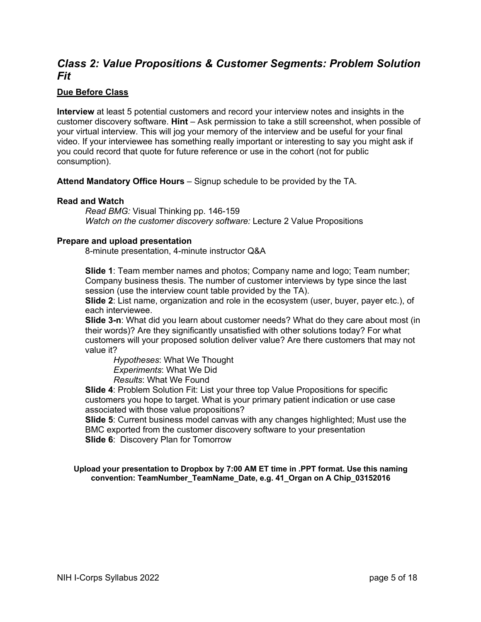## *Class 2: Value Propositions & Customer Segments: Problem Solution Fit*

## **Due Before Class**

**Interview** at least 5 potential customers and record your interview notes and insights in the customer discovery software. **Hint** – Ask permission to take a still screenshot, when possible of your virtual interview. This will jog your memory of the interview and be useful for your final video. If your interviewee has something really important or interesting to say you might ask if you could record that quote for future reference or use in the cohort (not for public consumption).

**Attend Mandatory Office Hours** – Signup schedule to be provided by the TA.

## **Read and Watch**

*Read BMG:* Visual Thinking pp. 146-159 *Watch on the customer discovery software:* Lecture 2 Value Propositions

### **Prepare and upload presentation**

8-minute presentation, 4-minute instructor Q&A

**Slide 1**: Team member names and photos; Company name and logo; Team number; Company business thesis. The number of customer interviews by type since the last session (use the interview count table provided by the TA).

**Slide 2**: List name, organization and role in the ecosystem (user, buyer, payer etc.), of each interviewee.

**Slide 3-n**: What did you learn about customer needs? What do they care about most (in their words)? Are they significantly unsatisfied with other solutions today? For what customers will your proposed solution deliver value? Are there customers that may not value it?

*Hypotheses*: What We Thought *Experiments*: What We Did *Results*: What We Found

**Slide 4**: Problem Solution Fit: List your three top Value Propositions for specific customers you hope to target. What is your primary patient indication or use case associated with those value propositions?

**Slide 5**: Current business model canvas with any changes highlighted; Must use the BMC exported from the customer discovery software to your presentation **Slide 6**: Discovery Plan for Tomorrow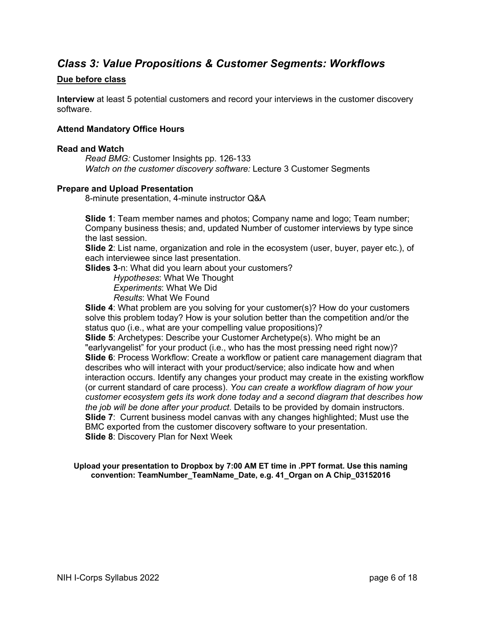## *Class 3: Value Propositions & Customer Segments: Workflows*

## **Due before class**

**Interview** at least 5 potential customers and record your interviews in the customer discovery software.

### **Attend Mandatory Office Hours**

#### **Read and Watch**

*Read BMG:* Customer Insights pp. 126-133 *Watch on the customer discovery software:* Lecture 3 Customer Segments

### **Prepare and Upload Presentation**

8-minute presentation, 4-minute instructor Q&A

**Slide 1**: Team member names and photos; Company name and logo; Team number; Company business thesis; and, updated Number of customer interviews by type since the last session.

**Slide 2**: List name, organization and role in the ecosystem (user, buyer, payer etc.), of each interviewee since last presentation.

**Slides 3**-n: What did you learn about your customers?

*Hypotheses*: What We Thought

*Experiments*: What We Did

*Results*: What We Found

**Slide 4**: What problem are you solving for your customer(s)? How do your customers solve this problem today? How is your solution better than the competition and/or the status quo (i.e., what are your compelling value propositions)?

**Slide 5**: Archetypes: Describe your Customer Archetype(s). Who might be an "earlyvangelist" for your product (i.e., who has the most pressing need right now)? **Slide 6**: Process Workflow: Create a workflow or patient care management diagram that describes who will interact with your product/service; also indicate how and when interaction occurs. Identify any changes your product may create in the existing workflow (or current standard of care process). *You can create a workflow diagram of how your customer ecosystem gets its work done today and a second diagram that describes how the job will be done after your product.* Details to be provided by domain instructors. **Slide 7**: Current business model canvas with any changes highlighted; Must use the BMC exported from the customer discovery software to your presentation. **Slide 8**: Discovery Plan for Next Week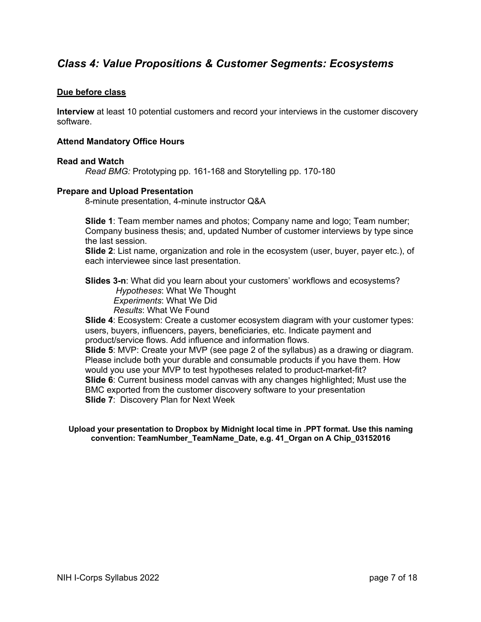## *Class 4: Value Propositions & Customer Segments: Ecosystems*

## **Due before class**

**Interview** at least 10 potential customers and record your interviews in the customer discovery software.

## **Attend Mandatory Office Hours**

### **Read and Watch**

*Read BMG:* Prototyping pp. 161-168 and Storytelling pp. 170-180

### **Prepare and Upload Presentation**

8-minute presentation, 4-minute instructor Q&A

**Slide 1**: Team member names and photos; Company name and logo; Team number; Company business thesis; and, updated Number of customer interviews by type since the last session.

**Slide 2**: List name, organization and role in the ecosystem (user, buyer, payer etc.), of each interviewee since last presentation.

**Slides 3-n**: What did you learn about your customers' workflows and ecosystems? *Hypotheses*: What We Thought *Experiments*: What We Did *Results*: What We Found

**Slide 4**: Ecosystem: Create a customer ecosystem diagram with your customer types: users, buyers, influencers, payers, beneficiaries, etc. Indicate payment and product/service flows. Add influence and information flows.

**Slide 5**: MVP: Create your MVP (see page 2 of the syllabus) as a drawing or diagram. Please include both your durable and consumable products if you have them. How would you use your MVP to test hypotheses related to product-market-fit? **Slide 6**: Current business model canvas with any changes highlighted; Must use the BMC exported from the customer discovery software to your presentation **Slide 7**: Discovery Plan for Next Week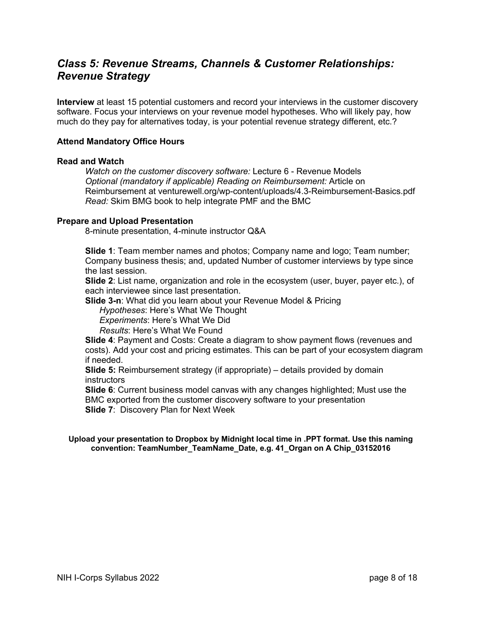## *Class 5: Revenue Streams, Channels & Customer Relationships: Revenue Strategy*

**Interview** at least 15 potential customers and record your interviews in the customer discovery software. Focus your interviews on your revenue model hypotheses. Who will likely pay, how much do they pay for alternatives today, is your potential revenue strategy different, etc.?

## **Attend Mandatory Office Hours**

### **Read and Watch**

*Watch on the customer discovery software:* Lecture 6 - Revenue Models *Optional (mandatory if applicable) Reading on Reimbursement:* Article on Reimbursement at venturewell.org/wp-content/uploads/4.3-Reimbursement-Basics.pdf *Read:* Skim BMG book to help integrate PMF and the BMC

### **Prepare and Upload Presentation**

8-minute presentation, 4-minute instructor Q&A

**Slide 1**: Team member names and photos; Company name and logo; Team number; Company business thesis; and, updated Number of customer interviews by type since the last session.

**Slide 2**: List name, organization and role in the ecosystem (user, buyer, payer etc.), of each interviewee since last presentation.

**Slide 3-n**: What did you learn about your Revenue Model & Pricing

*Hypotheses*: Here's What We Thought

*Experiments*: Here's What We Did

*Results*: Here's What We Found

**Slide 4**: Payment and Costs: Create a diagram to show payment flows (revenues and costs). Add your cost and pricing estimates. This can be part of your ecosystem diagram if needed.

**Slide 5:** Reimbursement strategy (if appropriate) – details provided by domain **instructors** 

**Slide 6**: Current business model canvas with any changes highlighted; Must use the BMC exported from the customer discovery software to your presentation **Slide 7**: Discovery Plan for Next Week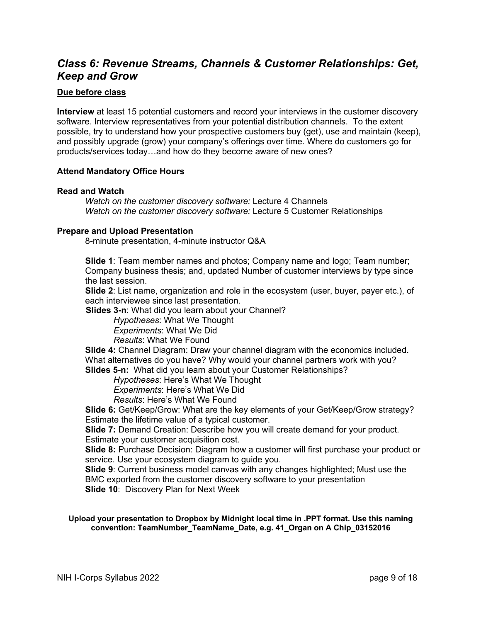## *Class 6: Revenue Streams, Channels & Customer Relationships: Get, Keep and Grow*

## **Due before class**

**Interview** at least 15 potential customers and record your interviews in the customer discovery software. Interview representatives from your potential distribution channels. To the extent possible, try to understand how your prospective customers buy (get), use and maintain (keep), and possibly upgrade (grow) your company's offerings over time. Where do customers go for products/services today…and how do they become aware of new ones?

## **Attend Mandatory Office Hours**

### **Read and Watch**

*Watch on the customer discovery software:* Lecture 4 Channels *Watch on the customer discovery software:* Lecture 5 Customer Relationships

### **Prepare and Upload Presentation**

8-minute presentation, 4-minute instructor Q&A

**Slide 1**: Team member names and photos; Company name and logo; Team number; Company business thesis; and, updated Number of customer interviews by type since the last session.

**Slide 2**: List name, organization and role in the ecosystem (user, buyer, payer etc.), of each interviewee since last presentation.

 **Slides 3-n**: What did you learn about your Channel?

*Hypotheses*: What We Thought

*Experiments*: What We Did

*Results*: What We Found

**Slide 4:** Channel Diagram: Draw your channel diagram with the economics included. What alternatives do you have? Why would your channel partners work with you? **Slides 5-n:** What did you learn about your Customer Relationships?

*Hypotheses*: Here's What We Thought

*Experiments*: Here's What We Did

*Results*: Here's What We Found

**Slide 6:** Get/Keep/Grow: What are the key elements of your Get/Keep/Grow strategy? Estimate the lifetime value of a typical customer.

**Slide 7:** Demand Creation: Describe how you will create demand for your product. Estimate your customer acquisition cost.

**Slide 8:** Purchase Decision: Diagram how a customer will first purchase your product or service. Use your ecosystem diagram to guide you.

**Slide 9**: Current business model canvas with any changes highlighted; Must use the BMC exported from the customer discovery software to your presentation **Slide 10**: Discovery Plan for Next Week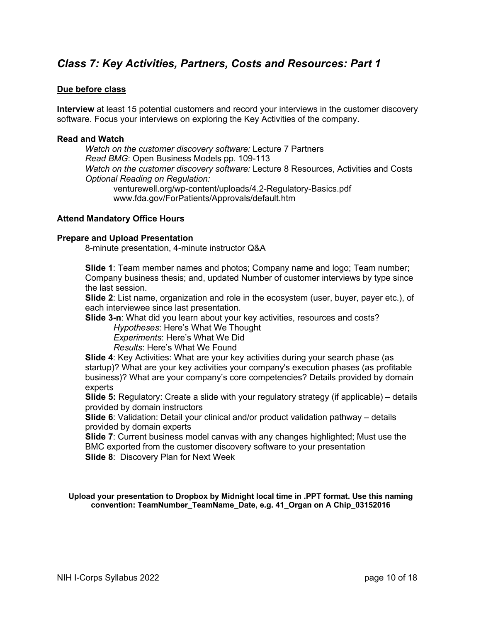## *Class 7: Key Activities, Partners, Costs and Resources: Part 1*

## **Due before class**

**Interview** at least 15 potential customers and record your interviews in the customer discovery software. Focus your interviews on exploring the Key Activities of the company.

#### **Read and Watch**

*Watch on the customer discovery software:* Lecture 7 Partners *Read BMG*: Open Business Models pp. 109-113 *Watch on the customer discovery software:* Lecture 8 Resources, Activities and Costs *Optional Reading on Regulation:* venturewell.org/wp-content/uploads/4.2-Regulatory-Basics.pdf www.fda.gov/ForPatients/Approvals/default.htm

### **Attend Mandatory Office Hours**

#### **Prepare and Upload Presentation**

8-minute presentation, 4-minute instructor Q&A

**Slide 1**: Team member names and photos; Company name and logo; Team number; Company business thesis; and, updated Number of customer interviews by type since the last session.

**Slide 2**: List name, organization and role in the ecosystem (user, buyer, payer etc.), of each interviewee since last presentation.

**Slide 3-n**: What did you learn about your key activities, resources and costs?

*Hypotheses*: Here's What We Thought

*Experiments*: Here's What We Did

*Results*: Here's What We Found

**Slide 4**: Key Activities: What are your key activities during your search phase (as startup)? What are your key activities your company's execution phases (as profitable business)? What are your company's core competencies? Details provided by domain experts

**Slide 5:** Regulatory: Create a slide with your regulatory strategy (if applicable) – details provided by domain instructors

**Slide 6**: Validation: Detail your clinical and/or product validation pathway – details provided by domain experts

**Slide 7**: Current business model canvas with any changes highlighted; Must use the BMC exported from the customer discovery software to your presentation **Slide 8**: Discovery Plan for Next Week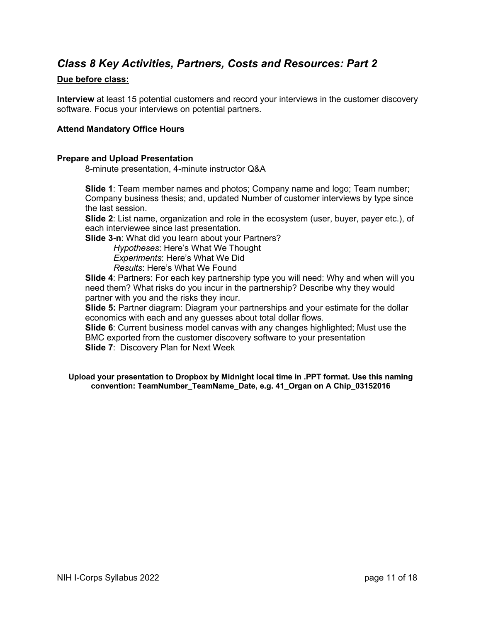## *Class 8 Key Activities, Partners, Costs and Resources: Part 2*

## **Due before class:**

**Interview** at least 15 potential customers and record your interviews in the customer discovery software. Focus your interviews on potential partners.

## **Attend Mandatory Office Hours**

### **Prepare and Upload Presentation**

8-minute presentation, 4-minute instructor Q&A

**Slide 1**: Team member names and photos; Company name and logo; Team number; Company business thesis; and, updated Number of customer interviews by type since the last session.

**Slide 2**: List name, organization and role in the ecosystem (user, buyer, payer etc.), of each interviewee since last presentation.

**Slide 3-n**: What did you learn about your Partners?

*Hypotheses*: Here's What We Thought *Experiments*: Here's What We Did *Results*: Here's What We Found

**Slide 4**: Partners: For each key partnership type you will need: Why and when will you need them? What risks do you incur in the partnership? Describe why they would partner with you and the risks they incur.

**Slide 5:** Partner diagram: Diagram your partnerships and your estimate for the dollar economics with each and any guesses about total dollar flows.

**Slide 6**: Current business model canvas with any changes highlighted; Must use the BMC exported from the customer discovery software to your presentation **Slide 7**: Discovery Plan for Next Week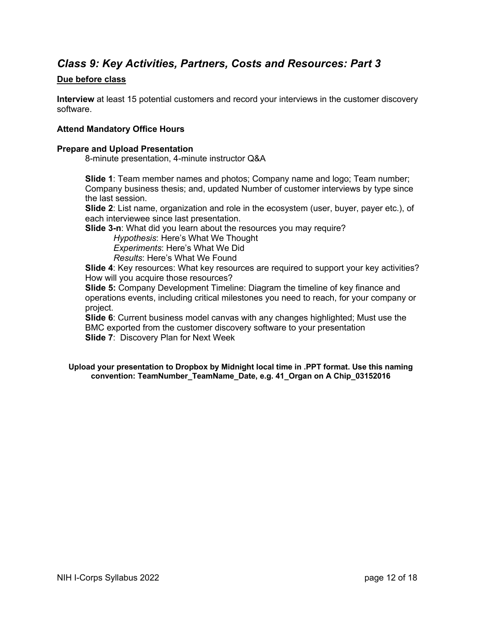## *Class 9: Key Activities, Partners, Costs and Resources: Part 3*

## **Due before class**

**Interview** at least 15 potential customers and record your interviews in the customer discovery software.

## **Attend Mandatory Office Hours**

### **Prepare and Upload Presentation**

8-minute presentation, 4-minute instructor Q&A

**Slide 1**: Team member names and photos; Company name and logo; Team number; Company business thesis; and, updated Number of customer interviews by type since the last session.

**Slide 2**: List name, organization and role in the ecosystem (user, buyer, payer etc.), of each interviewee since last presentation.

**Slide 3-n**: What did you learn about the resources you may require?

*Hypothesis*: Here's What We Thought *Experiments*: Here's What We Did *Results*: Here's What We Found

**Slide 4**: Key resources: What key resources are required to support your key activities? How will you acquire those resources?

**Slide 5:** Company Development Timeline: Diagram the timeline of key finance and operations events, including critical milestones you need to reach, for your company or project.

**Slide 6**: Current business model canvas with any changes highlighted; Must use the BMC exported from the customer discovery software to your presentation **Slide 7**: Discovery Plan for Next Week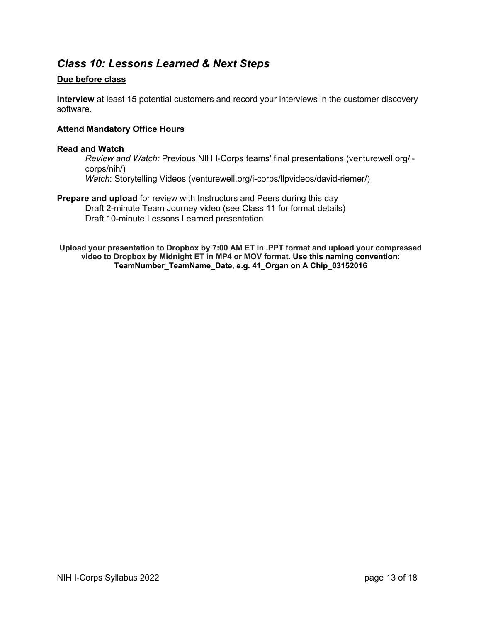## *Class 10: Lessons Learned & Next Steps*

## **Due before class**

**Interview** at least 15 potential customers and record your interviews in the customer discovery software.

## **Attend Mandatory Office Hours**

### **Read and Watch**

*Review and Watch:* Previous NIH I-Corps teams' final presentations (venturewell.org/icorps/nih/) *Watch*: Storytelling Videos (venturewell.org/i-corps/llpvideos/david-riemer/)

**Prepare and upload** for review with Instructors and Peers during this day Draft 2-minute Team Journey video (see Class 11 for format details) Draft 10-minute Lessons Learned presentation

**Upload your presentation to Dropbox by 7:00 AM ET in .PPT format and upload your compressed video to Dropbox by Midnight ET in MP4 or MOV format. Use this naming convention: TeamNumber\_TeamName\_Date, e.g. 41\_Organ on A Chip\_03152016**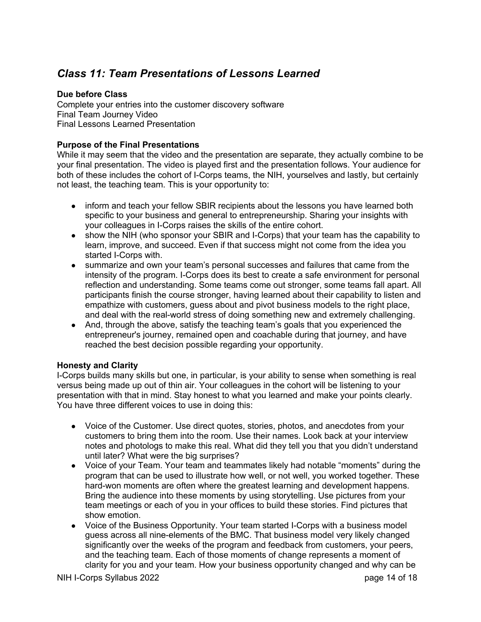## *Class 11: Team Presentations of Lessons Learned*

## **Due before Class**

Complete your entries into the customer discovery software Final Team Journey Video Final Lessons Learned Presentation

## **Purpose of the Final Presentations**

While it may seem that the video and the presentation are separate, they actually combine to be your final presentation. The video is played first and the presentation follows. Your audience for both of these includes the cohort of I-Corps teams, the NIH, yourselves and lastly, but certainly not least, the teaching team. This is your opportunity to:

- inform and teach your fellow SBIR recipients about the lessons you have learned both specific to your business and general to entrepreneurship. Sharing your insights with your colleagues in I-Corps raises the skills of the entire cohort.
- show the NIH (who sponsor your SBIR and I-Corps) that your team has the capability to learn, improve, and succeed. Even if that success might not come from the idea you started I-Corps with.
- summarize and own your team's personal successes and failures that came from the intensity of the program. I-Corps does its best to create a safe environment for personal reflection and understanding. Some teams come out stronger, some teams fall apart. All participants finish the course stronger, having learned about their capability to listen and empathize with customers, guess about and pivot business models to the right place, and deal with the real-world stress of doing something new and extremely challenging.
- And, through the above, satisfy the teaching team's goals that you experienced the entrepreneur's journey, remained open and coachable during that journey, and have reached the best decision possible regarding your opportunity.

## **Honesty and Clarity**

I-Corps builds many skills but one, in particular, is your ability to sense when something is real versus being made up out of thin air. Your colleagues in the cohort will be listening to your presentation with that in mind. Stay honest to what you learned and make your points clearly. You have three different voices to use in doing this:

- Voice of the Customer. Use direct quotes, stories, photos, and anecdotes from your customers to bring them into the room. Use their names. Look back at your interview notes and photologs to make this real. What did they tell you that you didn't understand until later? What were the big surprises?
- Voice of your Team. Your team and teammates likely had notable "moments" during the program that can be used to illustrate how well, or not well, you worked together. These hard-won moments are often where the greatest learning and development happens. Bring the audience into these moments by using storytelling. Use pictures from your team meetings or each of you in your offices to build these stories. Find pictures that show emotion.
- Voice of the Business Opportunity. Your team started I-Corps with a business model guess across all nine-elements of the BMC. That business model very likely changed significantly over the weeks of the program and feedback from customers, your peers, and the teaching team. Each of those moments of change represents a moment of clarity for you and your team. How your business opportunity changed and why can be

NIH I-Corps Syllabus 2022 page 14 of 18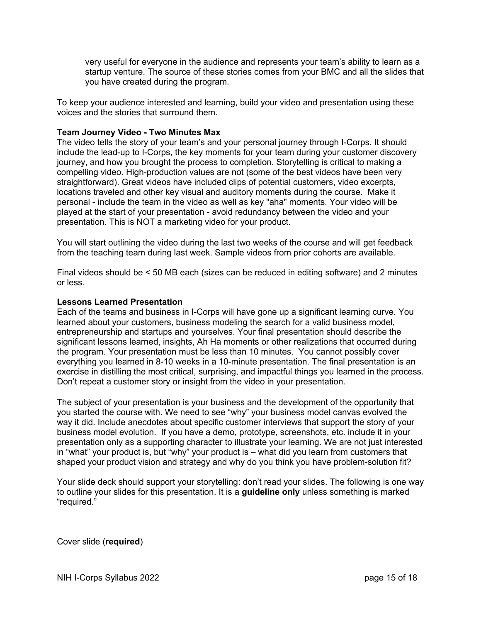very useful for everyone in the audience and represents your team's ability to learn as a startup venture. The source of these stories comes from your BMC and all the slides that you have created during the program.

To keep your audience interested and learning, build your video and presentation using these voices and the stories that surround them.

### **Team Journey Video - Two Minutes Max**

The video tells the story of your team's and your personal journey through I-Corps. It should include the lead-up to I-Corps, the key moments for your team during your customer discovery journey, and how you brought the process to completion. Storytelling is critical to making a compelling video. High-production values are not (some of the best videos have been very straightforward). Great videos have included clips of potential customers, video excerpts, locations traveled and other key visual and auditory moments during the course. Make it personal - include the team in the video as well as key "aha" moments. Your video will be played at the start of your presentation - avoid redundancy between the video and your presentation. This is NOT a marketing video for your product.

You will start outlining the video during the last two weeks of the course and will get feedback from the teaching team during last week. Sample videos from prior cohorts are available.

Final videos should be < 50 MB each (sizes can be reduced in editing software) and 2 minutes or less.

### **Lessons Learned Presentation**

Each of the teams and business in I-Corps will have gone up a significant learning curve. You learned about your customers, business modeling the search for a valid business model, entrepreneurship and startups and yourselves. Your final presentation should describe the significant lessons learned, insights, Ah Ha moments or other realizations that occurred during the program. Your presentation must be less than 10 minutes. You cannot possibly cover everything you learned in 8-10 weeks in a 10-minute presentation. The final presentation is an exercise in distilling the most critical, surprising, and impactful things you learned in the process. Don't repeat a customer story or insight from the video in your presentation.

The subject of your presentation is your business and the development of the opportunity that you started the course with. We need to see "why" your business model canvas evolved the way it did. Include anecdotes about specific customer interviews that support the story of your business model evolution. If you have a demo, prototype, screenshots, etc. include it in your presentation only as a supporting character to illustrate your learning. We are not just interested in "what" your product is, but "why" your product is – what did you learn from customers that shaped your product vision and strategy and why do you think you have problem-solution fit?

Your slide deck should support your storytelling: don't read your slides. The following is one way to outline your slides for this presentation. It is a **guideline only** unless something is marked "required."

Cover slide (**required**)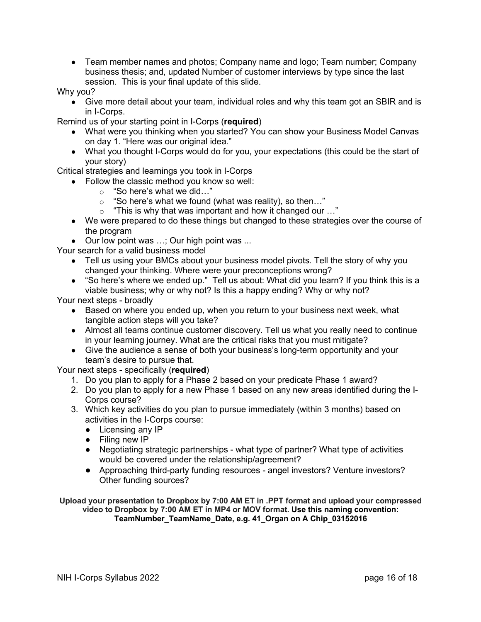• Team member names and photos; Company name and logo; Team number; Company business thesis; and, updated Number of customer interviews by type since the last session. This is your final update of this slide.

Why you?

• Give more detail about your team, individual roles and why this team got an SBIR and is in I-Corps.

Remind us of your starting point in I-Corps (**required**)

- What were you thinking when you started? You can show your Business Model Canvas on day 1. "Here was our original idea."
- What you thought I-Corps would do for you, your expectations (this could be the start of your story)

Critical strategies and learnings you took in I-Corps

- Follow the classic method you know so well:
	- o "So here's what we did…"
	- $\circ$  "So here's what we found (what was reality), so then..."
	- o "This is why that was important and how it changed our …"
- We were prepared to do these things but changed to these strategies over the course of the program
- Our low point was ...; Our high point was ...

Your search for a valid business model

- Tell us using your BMCs about your business model pivots. Tell the story of why you changed your thinking. Where were your preconceptions wrong?
- "So here's where we ended up." Tell us about: What did you learn? If you think this is a viable business; why or why not? Is this a happy ending? Why or why not?

Your next steps - broadly

- Based on where you ended up, when you return to your business next week, what tangible action steps will you take?
- Almost all teams continue customer discovery. Tell us what you really need to continue in your learning journey. What are the critical risks that you must mitigate?
- Give the audience a sense of both your business's long-term opportunity and your team's desire to pursue that.

Your next steps - specifically (**required**)

- 1. Do you plan to apply for a Phase 2 based on your predicate Phase 1 award?
- 2. Do you plan to apply for a new Phase 1 based on any new areas identified during the I-Corps course?
- 3. Which key activities do you plan to pursue immediately (within 3 months) based on activities in the I-Corps course:
	- Licensing any IP
	- Filing new IP
	- Negotiating strategic partnerships what type of partner? What type of activities would be covered under the relationship/agreement?
	- Approaching third-party funding resources angel investors? Venture investors? Other funding sources?

**Upload your presentation to Dropbox by 7:00 AM ET in .PPT format and upload your compressed video to Dropbox by 7:00 AM ET in MP4 or MOV format. Use this naming convention: TeamNumber\_TeamName\_Date, e.g. 41\_Organ on A Chip\_03152016**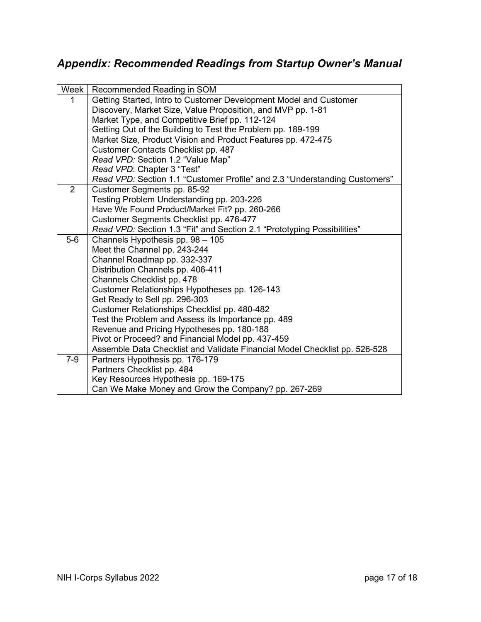# *Appendix: Recommended Readings from Startup Owner's Manual*

| Week  | Recommended Reading in SOM                                                 |
|-------|----------------------------------------------------------------------------|
|       | Getting Started, Intro to Customer Development Model and Customer          |
|       | Discovery, Market Size, Value Proposition, and MVP pp. 1-81                |
|       | Market Type, and Competitive Brief pp. 112-124                             |
|       | Getting Out of the Building to Test the Problem pp. 189-199                |
|       | Market Size, Product Vision and Product Features pp. 472-475               |
|       | Customer Contacts Checklist pp. 487                                        |
|       | Read VPD: Section 1.2 "Value Map"                                          |
|       | Read VPD: Chapter 3 "Test"                                                 |
|       | Read VPD: Section 1.1 "Customer Profile" and 2.3 "Understanding Customers" |
| 2     | Customer Segments pp. 85-92                                                |
|       | Testing Problem Understanding pp. 203-226                                  |
|       | Have We Found Product/Market Fit? pp. 260-266                              |
|       | Customer Segments Checklist pp. 476-477                                    |
|       | Read VPD: Section 1.3 "Fit" and Section 2.1 "Prototyping Possibilities"    |
| $5-6$ | Channels Hypothesis pp. 98 - 105                                           |
|       | Meet the Channel pp. 243-244                                               |
|       | Channel Roadmap pp. 332-337                                                |
|       | Distribution Channels pp. 406-411                                          |
|       | Channels Checklist pp. 478                                                 |
|       | Customer Relationships Hypotheses pp. 126-143                              |
|       | Get Ready to Sell pp. 296-303                                              |
|       | Customer Relationships Checklist pp. 480-482                               |
|       | Test the Problem and Assess its Importance pp. 489                         |
|       | Revenue and Pricing Hypotheses pp. 180-188                                 |
|       | Pivot or Proceed? and Financial Model pp. 437-459                          |
| $7-9$ | Assemble Data Checklist and Validate Financial Model Checklist pp. 526-528 |
|       | Partners Hypothesis pp. 176-179                                            |
|       | Partners Checklist pp. 484                                                 |
|       | Key Resources Hypothesis pp. 169-175                                       |
|       | Can We Make Money and Grow the Company? pp. 267-269                        |